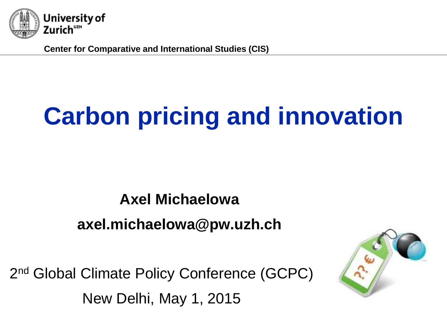

**Center for Comparative and International Studies (CIS)**

## **Carbon pricing and innovation**

## **Axel Michaelowa axel.michaelowa@pw.uzh.ch**

2<sup>nd</sup> Global Climate Policy Conference (GCPC) New Delhi, May 1, 2015

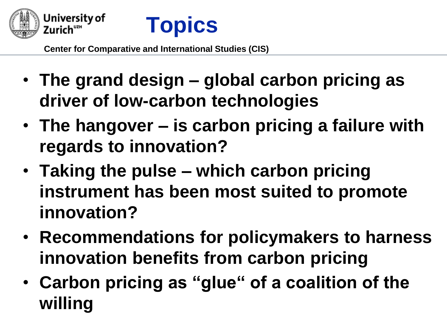



- **The grand design – global carbon pricing as driver of low-carbon technologies**
- **The hangover – is carbon pricing a failure with regards to innovation?**
- **Taking the pulse – which carbon pricing instrument has been most suited to promote innovation?**
- **Recommendations for policymakers to harness innovation benefits from carbon pricing**
- **Carbon pricing as "glue" of a coalition of the willing**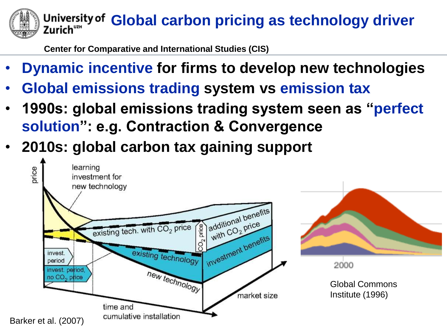## **Global carbon pricing as technology driver** Zurich""

- **Dynamic incentive for firms to develop new technologies**
- **Global emissions trading system vs emission tax**
- **1990s: global emissions trading system seen as "perfect solution": e.g. Contraction & Convergence**
- **2010s: global carbon tax gaining support**

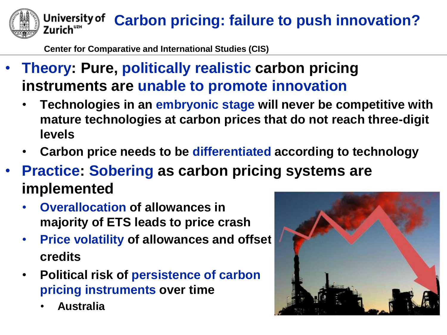**Carbon pricing: failure to push innovation?** Zurich"

- **Theory: Pure, politically realistic carbon pricing instruments are unable to promote innovation**
	- **Technologies in an embryonic stage will never be competitive with mature technologies at carbon prices that do not reach three-digit levels**
	- **Carbon price needs to be differentiated according to technology**
- **Practice: Sobering as carbon pricing systems are implemented**
	- **Overallocation of allowances in majority of ETS leads to price crash**
	- **Price volatility of allowances and offset credits**
	- **Political risk of persistence of carbon pricing instruments over time**
		- **Australia**

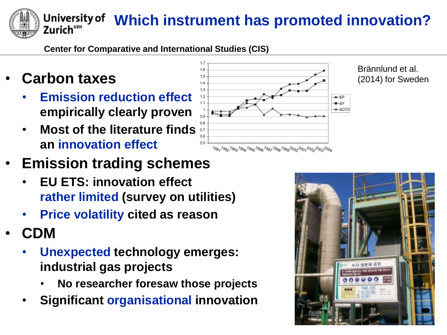**Which instrument has promoted innovation?**

**Center for Comparative and International Studies (CIS)**

• **Carbon taxes**

Zurich"<del>"</del>

- **Emission reduction effect empirically clearly proven**
- **Most of the literature finds an innovation effect**
- 1.5  $14$  $1.3$  $-EP$  $1.1$  $+\Delta Y$  $+\triangle CO2$  $0.5$ 19911992199319941995199619921998199920002001200220032004

Brännlund et al. (2014) for Sweden

- **Emission trading schemes**
	- **EU ETS: innovation effect rather limited (survey on utilities)**
	- **Price volatility cited as reason**
- **CDM**
	- **Unexpected technology emerges: industrial gas projects**
		- **No researcher foresaw those projects**
	- **Significant organisational innovation**

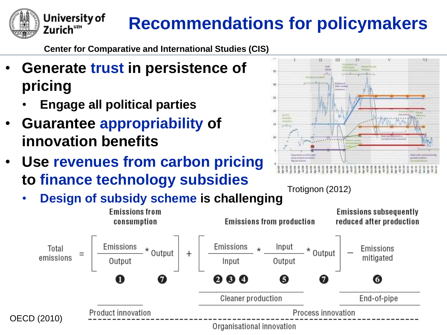

## **Recommendations for policymakers**

**Center for Comparative and International Studies (CIS)**

- **Generate trust in persistence of pricing**
	- **Engage all political parties**
- **Guarantee appropriability of innovation benefits**
- **Use revenues from carbon pricing to finance technology subsidies**



Trotignon (2012)

• **Design of subsidy scheme is challenging**